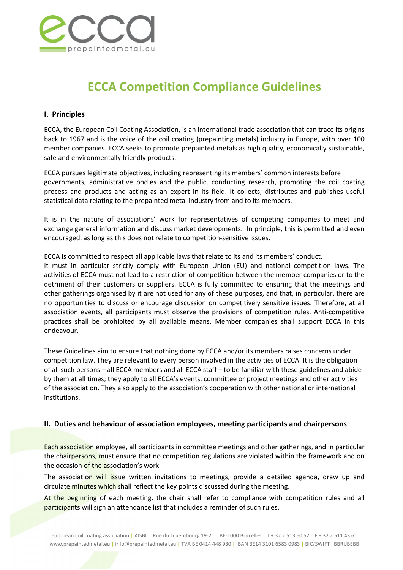

# ECCA Competition Compliance Guidelines

#### I. Principles

ECCA, the European Coil Coating Association, is an international trade association that can trace its origins back to 1967 and is the voice of the coil coating (prepainting metals) industry in Europe, with over 100 member companies. ECCA seeks to promote prepainted metals as high quality, economically sustainable, safe and environmentally friendly products.

ECCA pursues legitimate objectives, including representing its members' common interests before governments, administrative bodies and the public, conducting research, promoting the coil coating process and products and acting as an expert in its field. It collects, distributes and publishes useful statistical data relating to the prepainted metal industry from and to its members.

It is in the nature of associations' work for representatives of competing companies to meet and exchange general information and discuss market developments. In principle, this is permitted and even encouraged, as long as this does not relate to competition-sensitive issues.

ECCA is committed to respect all applicable laws that relate to its and its members' conduct.

It must in particular strictly comply with European Union (EU) and national competition laws. The activities of ECCA must not lead to a restriction of competition between the member companies or to the detriment of their customers or suppliers. ECCA is fully committed to ensuring that the meetings and other gatherings organised by it are not used for any of these purposes, and that, in particular, there are no opportunities to discuss or encourage discussion on competitively sensitive issues. Therefore, at all association events, all participants must observe the provisions of competition rules. Anti-competitive practices shall be prohibited by all available means. Member companies shall support ECCA in this endeavour.

These Guidelines aim to ensure that nothing done by ECCA and/or its members raises concerns under competition law. They are relevant to every person involved in the activities of ECCA. It is the obligation of all such persons – all ECCA members and all ECCA staff – to be familiar with these guidelines and abide by them at all times; they apply to all ECCA's events, committee or project meetings and other activities of the association. They also apply to the association's cooperation with other national or international institutions.

#### II. Duties and behaviour of association employees, meeting participants and chairpersons

Each association employee, all participants in committee meetings and other gatherings, and in particular the chairpersons, must ensure that no competition regulations are violated within the framework and on the occasion of the association's work.

The association will issue written invitations to meetings, provide a detailed agenda, draw up and circulate minutes which shall reflect the key points discussed during the meeting.

At the beginning of each meeting, the chair shall refer to compliance with competition rules and all participants will sign an attendance list that includes a reminder of such rules.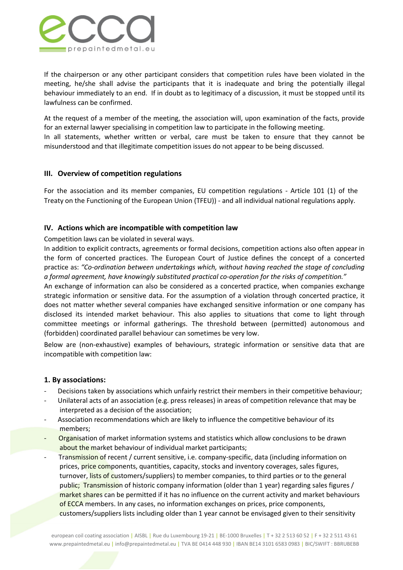

If the chairperson or any other participant considers that competition rules have been violated in the meeting, he/she shall advise the participants that it is inadequate and bring the potentially illegal behaviour immediately to an end. If in doubt as to legitimacy of a discussion, it must be stopped until its lawfulness can be confirmed.

At the request of a member of the meeting, the association will, upon examination of the facts, provide for an external lawyer specialising in competition law to participate in the following meeting.

In all statements, whether written or verbal, care must be taken to ensure that they cannot be misunderstood and that illegitimate competition issues do not appear to be being discussed.

## III. Overview of competition regulations

For the association and its member companies, EU competition regulations - Article 101 (1) of the Treaty on the Functioning of the European Union (TFEU)) - and all individual national regulations apply.

## IV. Actions which are incompatible with competition law

Competition laws can be violated in several ways.

In addition to explicit contracts, agreements or formal decisions, competition actions also often appear in the form of concerted practices. The European Court of Justice defines the concept of a concerted practice as: *"Co-ordination between undertakings which, without having reached the stage of concluding a formal agreement, have knowingly substituted practical co-operation for the risks of competition."* 

An exchange of information can also be considered as a concerted practice, when companies exchange strategic information or sensitive data. For the assumption of a violation through concerted practice, it does not matter whether several companies have exchanged sensitive information or one company has disclosed its intended market behaviour. This also applies to situations that come to light through committee meetings or informal gatherings. The threshold between (permitted) autonomous and (forbidden) coordinated parallel behaviour can sometimes be very low.

Below are (non-exhaustive) examples of behaviours, strategic information or sensitive data that are incompatible with competition law:

## 1. By associations:

- Decisions taken by associations which unfairly restrict their members in their competitive behaviour;
- Unilateral acts of an association (e.g. press releases) in areas of competition relevance that may be interpreted as a decision of the association;
- Association recommendations which are likely to influence the competitive behaviour of its members;
- Organisation of market information systems and statistics which allow conclusions to be drawn about the market behaviour of individual market participants;
- Transmission of recent / current sensitive, i.e. company-specific, data (including information on prices, price components, quantities, capacity, stocks and inventory coverages, sales figures, turnover, lists of customers/suppliers) to member companies, to third parties or to the general public; Transmission of historic company information (older than 1 year) regarding sales figures / market shares can be permitted if it has no influence on the current activity and market behaviours of ECCA members. In any cases, no information exchanges on prices, price components, customers/suppliers lists including older than 1 year cannot be envisaged given to their sensitivity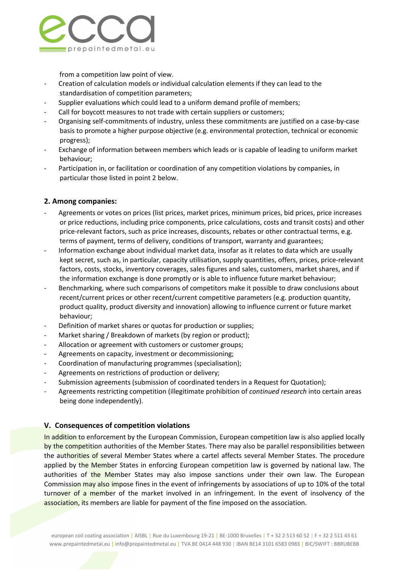

from a competition law point of view.

- Creation of calculation models or individual calculation elements if they can lead to the standardisation of competition parameters;
- Supplier evaluations which could lead to a uniform demand profile of members;
- Call for boycott measures to not trade with certain suppliers or customers;
- Organising self-commitments of industry, unless these commitments are justified on a case-by-case basis to promote a higher purpose objective (e.g. environmental protection, technical or economic progress);
- Exchange of information between members which leads or is capable of leading to uniform market behaviour;
- Participation in, or facilitation or coordination of any competition violations by companies, in particular those listed in point 2 below.

## 2. Among companies:

- Agreements or votes on prices (list prices, market prices, minimum prices, bid prices, price increases or price reductions, including price components, price calculations, costs and transit costs) and other price-relevant factors, such as price increases, discounts, rebates or other contractual terms, e.g. terms of payment, terms of delivery, conditions of transport, warranty and guarantees;
- Information exchange about individual market data, insofar as it relates to data which are usually kept secret, such as, in particular, capacity utilisation, supply quantities, offers, prices, price-relevant factors, costs, stocks, inventory coverages, sales figures and sales, customers, market shares, and if the information exchange is done promptly or is able to influence future market behaviour;
- Benchmarking, where such comparisons of competitors make it possible to draw conclusions about recent/current prices or other recent/current competitive parameters (e.g. production quantity, product quality, product diversity and innovation) allowing to influence current or future market behaviour;
- Definition of market shares or quotas for production or supplies;
- Market sharing / Breakdown of markets (by region or product);
- Allocation or agreement with customers or customer groups;
- Agreements on capacity, investment or decommissioning;
- Coordination of manufacturing programmes (specialisation);
- Agreements on restrictions of production or delivery;
- Submission agreements (submission of coordinated tenders in a Request for Quotation);
- Agreements restricting competition (illegitimate prohibition of *continued research* into certain areas being done independently).

## V. Consequences of competition violations

In addition to enforcement by the European Commission, European competition law is also applied locally by the competition authorities of the Member States. There may also be parallel responsibilities between the authorities of several Member States where a cartel affects several Member States. The procedure applied by the Member States in enforcing European competition law is governed by national law. The authorities of the Member States may also impose sanctions under their own law. The European Commission may also impose fines in the event of infringements by associations of up to 10% of the total turnover of a member of the market involved in an infringement. In the event of insolvency of the association, its members are liable for payment of the fine imposed on the association.